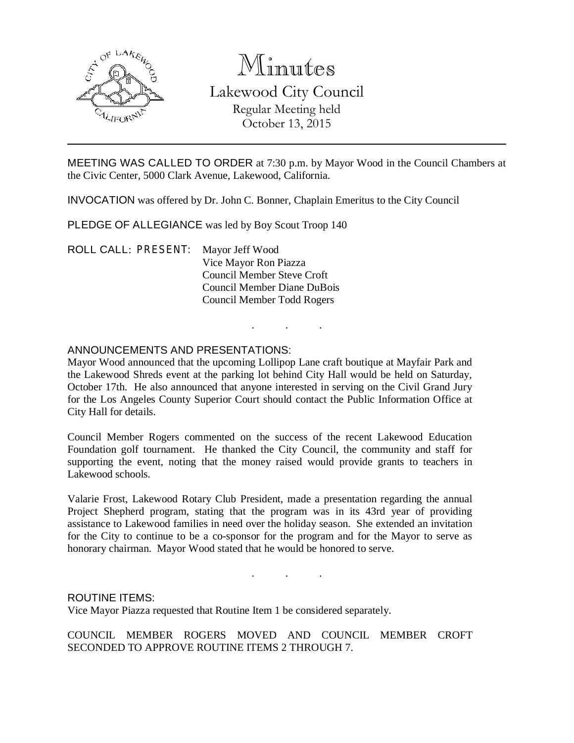

# Minutes Lakewood City Council Regular Meeting held October 13, 2015

MEETING WAS CALLED TO ORDER at 7:30 p.m. by Mayor Wood in the Council Chambers at the Civic Center, 5000 Clark Avenue, Lakewood, California.

INVOCATION was offered by Dr. John C. Bonner, Chaplain Emeritus to the City Council

PLEDGE OF ALLEGIANCE was led by Boy Scout Troop 140

ROLL CALL: PRESENT: Mayor Jeff Wood Vice Mayor Ron Piazza Council Member Steve Croft Council Member Diane DuBois Council Member Todd Rogers

### ANNOUNCEMENTS AND PRESENTATIONS:

Mayor Wood announced that the upcoming Lollipop Lane craft boutique at Mayfair Park and the Lakewood Shreds event at the parking lot behind City Hall would be held on Saturday, October 17th. He also announced that anyone interested in serving on the Civil Grand Jury for the Los Angeles County Superior Court should contact the Public Information Office at City Hall for details.

. . .

Council Member Rogers commented on the success of the recent Lakewood Education Foundation golf tournament. He thanked the City Council, the community and staff for supporting the event, noting that the money raised would provide grants to teachers in Lakewood schools.

Valarie Frost, Lakewood Rotary Club President, made a presentation regarding the annual Project Shepherd program, stating that the program was in its 43rd year of providing assistance to Lakewood families in need over the holiday season. She extended an invitation for the City to continue to be a co-sponsor for the program and for the Mayor to serve as honorary chairman. Mayor Wood stated that he would be honored to serve.

. . .

#### ROUTINE ITEMS:

Vice Mayor Piazza requested that Routine Item 1 be considered separately.

COUNCIL MEMBER ROGERS MOVED AND COUNCIL MEMBER CROFT SECONDED TO APPROVE ROUTINE ITEMS 2 THROUGH 7.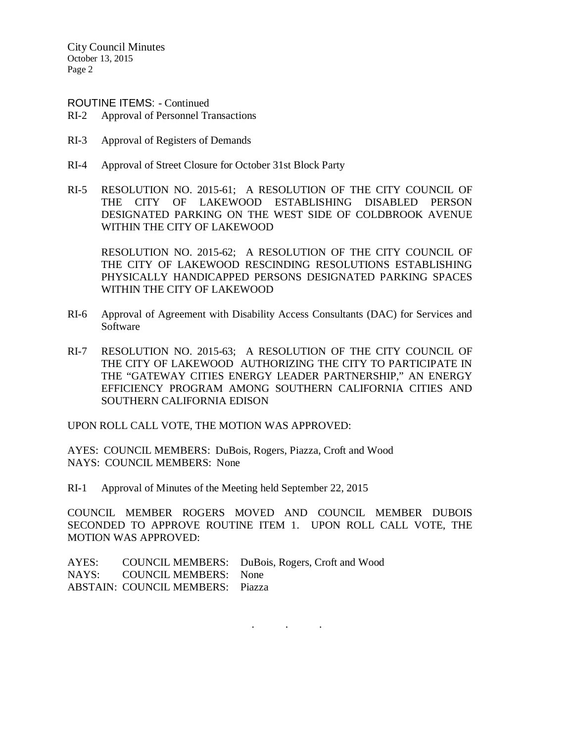City Council Minutes October 13, 2015 Page 2

ROUTINE ITEMS: - Continued

- RI-2 Approval of Personnel Transactions
- RI-3 Approval of Registers of Demands
- RI-4 Approval of Street Closure for October 31st Block Party
- RI-5 RESOLUTION NO. 2015-61; A RESOLUTION OF THE CITY COUNCIL OF THE CITY OF LAKEWOOD ESTABLISHING DISABLED PERSON DESIGNATED PARKING ON THE WEST SIDE OF COLDBROOK AVENUE WITHIN THE CITY OF LAKEWOOD

RESOLUTION NO. 2015-62; A RESOLUTION OF THE CITY COUNCIL OF THE CITY OF LAKEWOOD RESCINDING RESOLUTIONS ESTABLISHING PHYSICALLY HANDICAPPED PERSONS DESIGNATED PARKING SPACES WITHIN THE CITY OF LAKEWOOD

- RI-6 Approval of Agreement with Disability Access Consultants (DAC) for Services and Software
- RI-7 RESOLUTION NO. 2015-63; A RESOLUTION OF THE CITY COUNCIL OF THE CITY OF LAKEWOOD AUTHORIZING THE CITY TO PARTICIPATE IN THE "GATEWAY CITIES ENERGY LEADER PARTNERSHIP," AN ENERGY EFFICIENCY PROGRAM AMONG SOUTHERN CALIFORNIA CITIES AND SOUTHERN CALIFORNIA EDISON

UPON ROLL CALL VOTE, THE MOTION WAS APPROVED:

AYES: COUNCIL MEMBERS: DuBois, Rogers, Piazza, Croft and Wood NAYS: COUNCIL MEMBERS: None

RI-1 Approval of Minutes of the Meeting held September 22, 2015

COUNCIL MEMBER ROGERS MOVED AND COUNCIL MEMBER DUBOIS SECONDED TO APPROVE ROUTINE ITEM 1. UPON ROLL CALL VOTE, THE MOTION WAS APPROVED:

|                                         | AYES: COUNCIL MEMBERS: DuBois, Rogers, Croft and Wood |
|-----------------------------------------|-------------------------------------------------------|
| NAYS: COUNCIL MEMBERS: None             |                                                       |
| <b>ABSTAIN: COUNCIL MEMBERS: Piazza</b> |                                                       |

. . .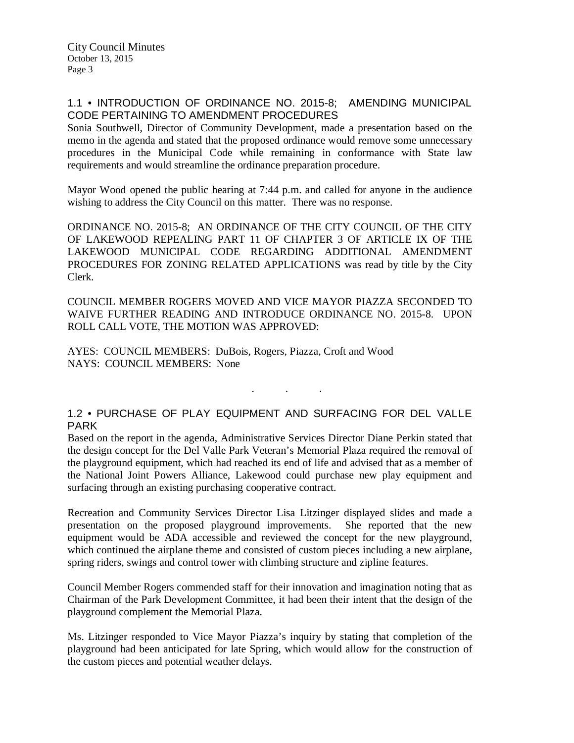# 1.1 • INTRODUCTION OF ORDINANCE NO. 2015-8; AMENDING MUNICIPAL CODE PERTAINING TO AMENDMENT PROCEDURES

Sonia Southwell, Director of Community Development, made a presentation based on the memo in the agenda and stated that the proposed ordinance would remove some unnecessary procedures in the Municipal Code while remaining in conformance with State law requirements and would streamline the ordinance preparation procedure.

Mayor Wood opened the public hearing at 7:44 p.m. and called for anyone in the audience wishing to address the City Council on this matter. There was no response.

ORDINANCE NO. 2015-8; AN ORDINANCE OF THE CITY COUNCIL OF THE CITY OF LAKEWOOD REPEALING PART 11 OF CHAPTER 3 OF ARTICLE IX OF THE LAKEWOOD MUNICIPAL CODE REGARDING ADDITIONAL AMENDMENT PROCEDURES FOR ZONING RELATED APPLICATIONS was read by title by the City Clerk.

COUNCIL MEMBER ROGERS MOVED AND VICE MAYOR PIAZZA SECONDED TO WAIVE FURTHER READING AND INTRODUCE ORDINANCE NO. 2015-8. UPON ROLL CALL VOTE, THE MOTION WAS APPROVED:

AYES: COUNCIL MEMBERS: DuBois, Rogers, Piazza, Croft and Wood NAYS: COUNCIL MEMBERS: None

### 1.2 • PURCHASE OF PLAY EQUIPMENT AND SURFACING FOR DEL VALLE PARK

. . .

Based on the report in the agenda, Administrative Services Director Diane Perkin stated that the design concept for the Del Valle Park Veteran's Memorial Plaza required the removal of the playground equipment, which had reached its end of life and advised that as a member of the National Joint Powers Alliance, Lakewood could purchase new play equipment and surfacing through an existing purchasing cooperative contract.

Recreation and Community Services Director Lisa Litzinger displayed slides and made a presentation on the proposed playground improvements. She reported that the new equipment would be ADA accessible and reviewed the concept for the new playground, which continued the airplane theme and consisted of custom pieces including a new airplane, spring riders, swings and control tower with climbing structure and zipline features.

Council Member Rogers commended staff for their innovation and imagination noting that as Chairman of the Park Development Committee, it had been their intent that the design of the playground complement the Memorial Plaza.

Ms. Litzinger responded to Vice Mayor Piazza's inquiry by stating that completion of the playground had been anticipated for late Spring, which would allow for the construction of the custom pieces and potential weather delays.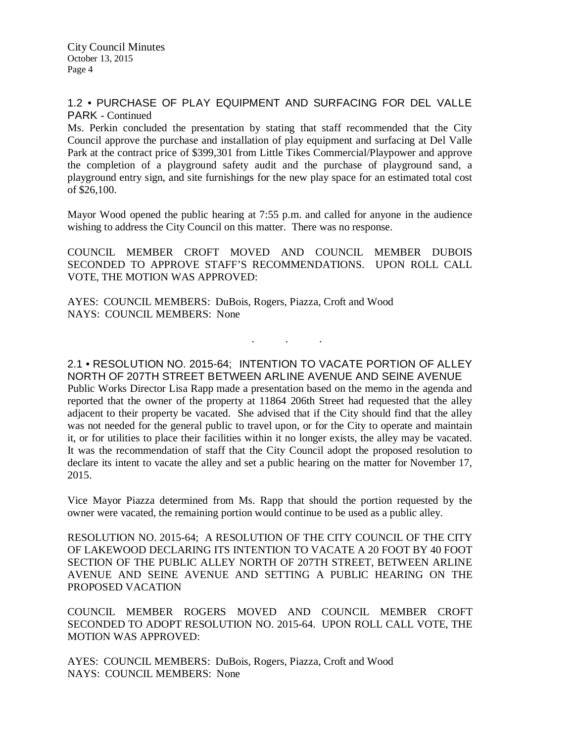City Council Minutes October 13, 2015 Page 4

#### 1.2 • PURCHASE OF PLAY EQUIPMENT AND SURFACING FOR DEL VALLE PARK - Continued

Ms. Perkin concluded the presentation by stating that staff recommended that the City Council approve the purchase and installation of play equipment and surfacing at Del Valle Park at the contract price of \$399,301 from Little Tikes Commercial/Playpower and approve the completion of a playground safety audit and the purchase of playground sand, a playground entry sign, and site furnishings for the new play space for an estimated total cost of \$26,100.

Mayor Wood opened the public hearing at 7:55 p.m. and called for anyone in the audience wishing to address the City Council on this matter. There was no response.

COUNCIL MEMBER CROFT MOVED AND COUNCIL MEMBER DUBOIS SECONDED TO APPROVE STAFF'S RECOMMENDATIONS. UPON ROLL CALL VOTE, THE MOTION WAS APPROVED:

. . .

AYES: COUNCIL MEMBERS: DuBois, Rogers, Piazza, Croft and Wood NAYS: COUNCIL MEMBERS: None

2.1 • RESOLUTION NO. 2015-64; INTENTION TO VACATE PORTION OF ALLEY NORTH OF 207TH STREET BETWEEN ARLINE AVENUE AND SEINE AVENUE Public Works Director Lisa Rapp made a presentation based on the memo in the agenda and reported that the owner of the property at 11864 206th Street had requested that the alley adjacent to their property be vacated. She advised that if the City should find that the alley was not needed for the general public to travel upon, or for the City to operate and maintain it, or for utilities to place their facilities within it no longer exists, the alley may be vacated. It was the recommendation of staff that the City Council adopt the proposed resolution to declare its intent to vacate the alley and set a public hearing on the matter for November 17, 2015.

Vice Mayor Piazza determined from Ms. Rapp that should the portion requested by the owner were vacated, the remaining portion would continue to be used as a public alley.

RESOLUTION NO. 2015-64; A RESOLUTION OF THE CITY COUNCIL OF THE CITY OF LAKEWOOD DECLARING ITS INTENTION TO VACATE A 20 FOOT BY 40 FOOT SECTION OF THE PUBLIC ALLEY NORTH OF 207TH STREET, BETWEEN ARLINE AVENUE AND SEINE AVENUE AND SETTING A PUBLIC HEARING ON THE PROPOSED VACATION

COUNCIL MEMBER ROGERS MOVED AND COUNCIL MEMBER CROFT SECONDED TO ADOPT RESOLUTION NO. 2015-64. UPON ROLL CALL VOTE, THE MOTION WAS APPROVED:

AYES: COUNCIL MEMBERS: DuBois, Rogers, Piazza, Croft and Wood NAYS: COUNCIL MEMBERS: None